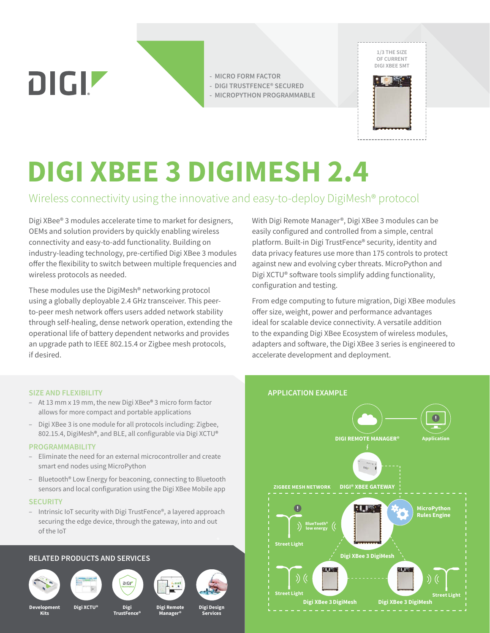**DIGIZ** 

**- MICRO FORM FACTOR - DIGI TRUSTFENCE® SECURED**

**- MICROPYTHON PROGRAMMABLE**



# **DIGI XBEE 3 DIGIMESH 2.4**

# Wireless connectivity using the innovative and easy-to-deploy DigiMesh® protocol

Digi XBee® 3 modules accelerate time to market for designers, OEMs and solution providers by quickly enabling wireless connectivity and easy-to-add functionality. Building on industry-leading technology, pre-certified Digi XBee 3 modules offer the flexibility to switch between multiple frequencies and wireless protocols as needed.

These modules use the DigiMesh® networking protocol using a globally deployable 2.4 GHz transceiver. This peerto-peer mesh network offers users added network stability through self-healing, dense network operation, extending the operational life of battery dependent networks and provides an upgrade path to IEEE 802.15.4 or Zigbee mesh protocols, if desired.

With Digi Remote Manager®, Digi XBee 3 modules can be easily configured and controlled from a simple, central platform. Built-in Digi TrustFence® security, identity and data privacy features use more than 175 controls to protect against new and evolving cyber threats. MicroPython and Digi XCTU® software tools simplify adding functionality, configuration and testing.

From edge computing to future migration, Digi XBee modules offer size, weight, power and performance advantages ideal for scalable device connectivity. A versatile addition to the expanding Digi XBee Ecosystem of wireless modules, adapters and software, the Digi XBee 3 series is engineered to accelerate development and deployment.

**APPLICATION EXAMPLE**



- At 13 mm x 19 mm, the new Digi XBee® 3 micro form factor allows for more compact and portable applications
- Digi XBee 3 is one module for all protocols including: Zigbee, 802.15.4, DigiMesh®, and BLE, all configurable via Digi XCTU®

#### **PROGRAMMABILITY**

- Eliminate the need for an external microcontroller and create smart end nodes using MicroPython
- Bluetooth® Low Energy for beaconing, connecting to Bluetooth sensors and local configuration using the Digi XBee Mobile app

#### **SECURITY**

– Intrinsic IoT security with Digi TrustFence®, a layered approach securing the edge device, through the gateway, into and out of the IoT

#### **RELATED PRODUCTS AND SERVICES**











**Manager®**

### **DIGI REMOTE MANAGER® Application DIGI® XBEE GATEWAY ZIGBEE MESH NETWORK**  $\mathbf 0$  $\cdot$ Let  $\mathbb{R}$ **MicroPython** ۵ **Rules Engine BlueTooth® low energy Street Light Digi XBee 3 DigiMesh** )) (( **Street Light Street Light Digi XBee 3DigiMesh Digi XBee 3 DigiMesh**

**Development Kits**

**Digi XCTU® Digi Remote**

**Digi TrustFence®**

**Digi Design**

**Services**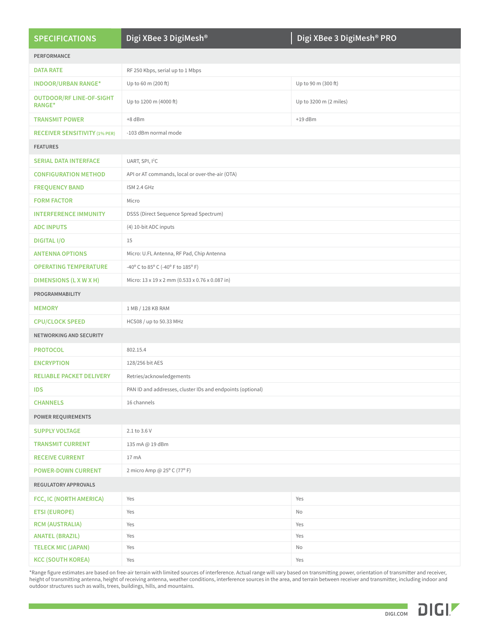| <b>SPECIFICATIONS</b>                            | Digi XBee 3 DigiMesh <sup>®</sup>                          | Digi XBee 3 DigiMesh® PRO |
|--------------------------------------------------|------------------------------------------------------------|---------------------------|
| <b>PERFORMANCE</b>                               |                                                            |                           |
| <b>DATA RATE</b>                                 | RF 250 Kbps, serial up to 1 Mbps                           |                           |
| <b>INDOOR/URBAN RANGE*</b>                       | Up to 60 m (200 ft)                                        | Up to 90 m (300 ft)       |
| <b>OUTDOOR/RF LINE-OF-SIGHT</b><br><b>RANGE*</b> | Up to 1200 m (4000 ft)                                     | Up to 3200 m (2 miles)    |
| <b>TRANSMIT POWER</b>                            | +8 dBm                                                     | $+19$ dBm                 |
| <b>RECEIVER SENSITIVITY (1% PER)</b>             | -103 dBm normal mode                                       |                           |
| <b>FEATURES</b>                                  |                                                            |                           |
| <b>SERIAL DATA INTERFACE</b>                     | UART, SPI, I <sup>2</sup> C                                |                           |
| <b>CONFIGURATION METHOD</b>                      | API or AT commands, local or over-the-air (OTA)            |                           |
| <b>FREQUENCY BAND</b>                            | ISM 2.4 GHz                                                |                           |
| <b>FORM FACTOR</b>                               | Micro                                                      |                           |
| <b>INTERFERENCE IMMUNITY</b>                     | DSSS (Direct Sequence Spread Spectrum)                     |                           |
| <b>ADC INPUTS</b>                                | (4) 10-bit ADC inputs                                      |                           |
| <b>DIGITAL I/O</b>                               | 15                                                         |                           |
| <b>ANTENNA OPTIONS</b>                           | Micro: U.FL Antenna, RF Pad, Chip Antenna                  |                           |
| <b>OPERATING TEMPERATURE</b>                     | -40° C to 85° C (-40° F to 185° F)                         |                           |
| DIMENSIONS (L X W X H)                           | Micro: 13 x 19 x 2 mm (0.533 x 0.76 x 0.087 in)            |                           |
| PROGRAMMABILITY                                  |                                                            |                           |
| <b>MEMORY</b>                                    | 1 MB / 128 KB RAM                                          |                           |
| <b>CPU/CLOCK SPEED</b>                           | HCS08 / up to 50.33 MHz                                    |                           |
| NETWORKING AND SECURITY                          |                                                            |                           |
| <b>PROTOCOL</b>                                  | 802.15.4                                                   |                           |
| <b>ENCRYPTION</b>                                | 128/256 bit AES                                            |                           |
| <b>RELIABLE PACKET DELIVERY</b>                  | Retries/acknowledgements                                   |                           |
| <b>IDS</b>                                       | PAN ID and addresses, cluster IDs and endpoints (optional) |                           |
| <b>CHANNELS</b>                                  | 16 channels                                                |                           |
| <b>POWER REQUIREMENTS</b>                        |                                                            |                           |
| <b>SUPPLY VOLTAGE</b>                            | 2.1 to 3.6 V                                               |                           |
| <b>TRANSMIT CURRENT</b>                          | 135 mA @ 19 dBm                                            |                           |
| <b>RECEIVE CURRENT</b>                           | 17 mA                                                      |                           |
| <b>POWER-DOWN CURRENT</b>                        | 2 micro Amp @ 25° C (77° F)                                |                           |
| REGULATORY APPROVALS                             |                                                            |                           |
| FCC, IC (NORTH AMERICA)                          | Yes                                                        | Yes                       |
| <b>ETSI (EUROPE)</b>                             | Yes                                                        | No                        |
| <b>RCM (AUSTRALIA)</b>                           | Yes                                                        | Yes                       |
| <b>ANATEL (BRAZIL)</b>                           | Yes                                                        | Yes                       |
| <b>TELECK MIC (JAPAN)</b>                        | Yes                                                        | No                        |
| <b>KCC (SOUTH KOREA)</b>                         | Yes                                                        | Yes                       |

\*Range figure estimates are based on free-air terrain with limited sources of interference. Actual range will vary based on transmitting power, orientation of transmitter and receiver, height of transmitting antenna, height of receiving antenna, weather conditions, interference sources in the area, and terrain between receiver and transmitter, including indoor and outdoor structures such as walls, trees, buildings, hills, and mountains.